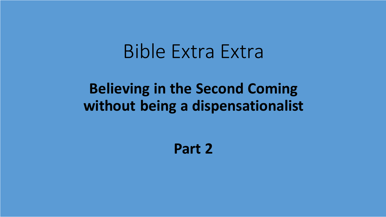## Bible Extra Extra

#### **Believing in the Second Coming without being a dispensationalist**

**Part 2**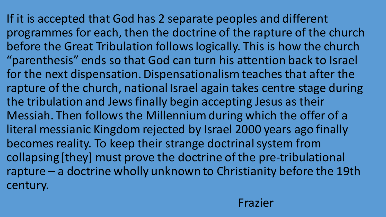If it is accepted that God has 2 separate peoples and different programmes for each, then the doctrine of the rapture of the church before the Great Tribulation follows logically. This is how the church "parenthesis" ends so that God can turn his attention back to Israel for the next dispensation. Dispensationalism teaches that after the rapture of the church, national Israel again takes centre stage during the tribulation and Jews finally begin accepting Jesus as their Messiah. Then follows the Millennium during which the offer of a literal messianic Kingdom rejected by Israel 2000 years ago finally becomes reality. To keep their strange doctrinal system from collapsing [they] must prove the doctrine of the pre-tribulational rapture – a doctrine wholly unknown to Christianity before the 19th century.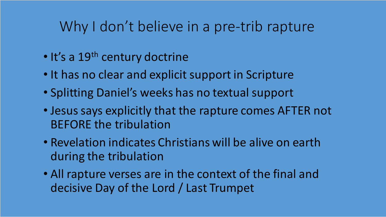#### Why I don't believe in a pre-trib rapture

- It's a 19<sup>th</sup> century doctrine
- It has no clear and explicit support in Scripture
- Splitting Daniel's weeks has no textual support
- Jesus says explicitly that the rapture comes AFTER not BEFORE the tribulation
- Revelation indicates Christians will be alive on earth during the tribulation
- All rapture verses are in the context of the final and decisive Day of the Lord / Last Trumpet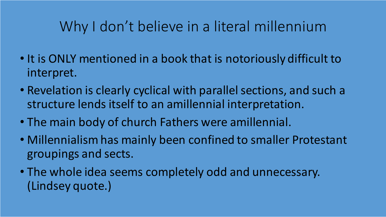### Why I don't believe in a literal millennium

- It is ONLY mentioned in a book that is notoriously difficult to interpret.
- Revelation is clearly cyclical with parallel sections, and such a structure lends itself to an amillennial interpretation.
- The main body of church Fathers were amillennial.
- Millennialism has mainly been confined to smaller Protestant groupings and sects.
- The whole idea seems completely odd and unnecessary. (Lindsey quote.)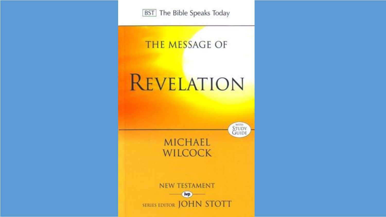**BST** The Bible Speaks Today

#### **THE MESSAGE OF**

# REVELATION

STUDY<br>GUIDE **MICHAEL** 

**NEW TESTAMENT ivp SERIES EDITOR JOHN STOTT** 

**WILCOCK**